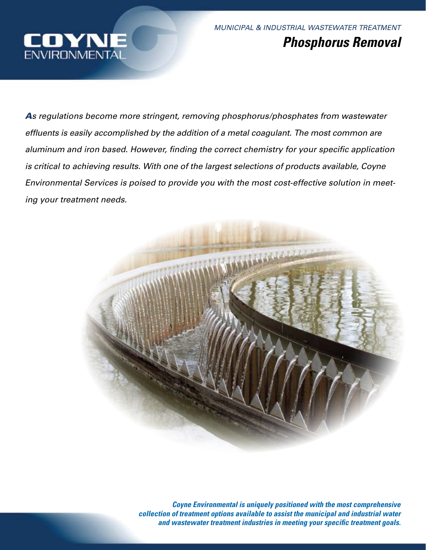

*MUNICIPAL & INDUSTRIAL WASTEWATER TREATMENT Phosphorus Removal*

*As regulations become more stringent, removing phosphorus/phosphates from wastewater effluents is easily accomplished by the addition of a metal coagulant. The most common are aluminum and iron based. However, finding the correct chemistry for your specific application is critical to achieving results. With one of the largest selections of products available, Coyne Environmental Services is poised to provide you with the most cost-effective solution in meeting your treatment needs.* 



*Coyne Environmental is uniquely positioned with the most comprehensive collection of treatment options available to assist the municipal and industrial water and wastewater treatment industries in meeting your specific treatment goals.*